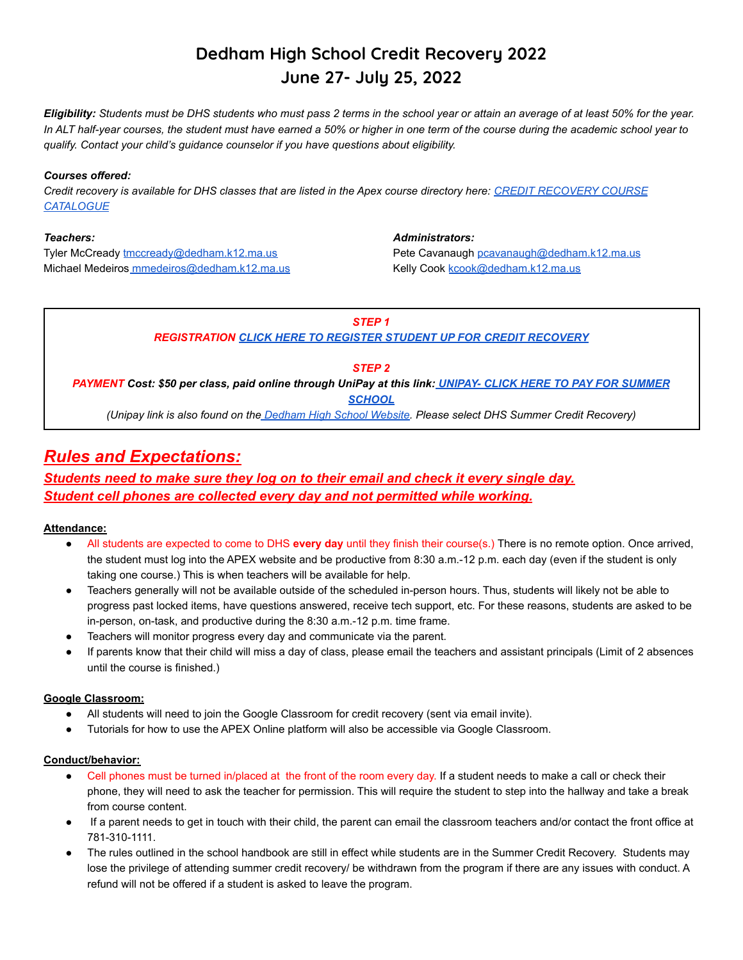# **Dedham High School Credit Recovery 2022 June 27- July 25, 2022**

*Eligibility: Students must be DHS students who must pass 2 terms in the school year or attain an average of at least 50% for the year. In ALT half-year courses, the student must have earned a 50% or higher in one term of the course during the academic school year to qualify. Contact your child's guidance counselor if you have questions about eligibility.*

## *Courses offered:*

*Credit recovery is available for DHS classes that are listed in the Apex course directory here: CREDIT [RECOVERY COURSE](https://www.apexlearning.com/catalog) [CATALOGUE](https://www.apexlearning.com/catalog)*

#### *Teachers:*

Tyler McCready [tmccready@dedham.k12.ma.us](mailto:tmccready@dedham.k12.ma.us) Michael Medeiros [mmedeiros@dedham.k12.ma.us](mailto:mmedeiros@dedham.k12.ma.us)

#### *Administrators:*

Pete Cavanaugh [pcavanaugh@dedham.k12.ma.us](mailto:pcavanaugh@dedham.k12.ma.us) Kelly Cook [kcook@dedham.k12.ma.us](mailto:kcook@dedham.k12.ma.us)

## *STEP 1*

*REGISTRATION [CLICK HERE TO REGISTER STUDENT UP FOR](https://docs.google.com/forms/d/e/1FAIpQLSfj1FFcxy-6HPBaFMSCIxoKzdE4BdScoYGrTkNAzsvm5m-T8w/viewform) CREDIT RECOVERY*

## *STEP 2*

*PAYMENT Cost: \$50 per class, paid online through UniPay at this link: [UNIPAY- CLICK HERE TO PAY FOR SUMMER](https://unipaygold.unibank.com/CustomerInfo.aspx) [SCHOOL](https://unipaygold.unibank.com/CustomerInfo.aspx)*

*(Unipay link is also found on the [Dedham High School](https://www.dedham.k12.ma.us/Domain/118) Website. Please select DHS Summer Credit Recovery)*

## *Rules and Expectations:*

## *Students need to make sure they log on to their email and check it every single day. Student cell phones are collected every day and not permitted while working.*

## **Attendance:**

- All students are expected to come to DHS **every day** until they finish their course(s.) There is no remote option. Once arrived, the student must log into the APEX website and be productive from 8:30 a.m.-12 p.m. each day (even if the student is only taking one course.) This is when teachers will be available for help.
- Teachers generally will not be available outside of the scheduled in-person hours. Thus, students will likely not be able to progress past locked items, have questions answered, receive tech support, etc. For these reasons, students are asked to be in-person, on-task, and productive during the 8:30 a.m.-12 p.m. time frame.
- Teachers will monitor progress every day and communicate via the parent.
- If parents know that their child will miss a day of class, please email the teachers and assistant principals (Limit of 2 absences until the course is finished.)

## **Google Classroom:**

- All students will need to join the Google Classroom for credit recovery (sent via email invite).
- Tutorials for how to use the APEX Online platform will also be accessible via Google Classroom.

## **Conduct/behavior:**

- Cell phones must be turned in/placed at the front of the room every day. If a student needs to make a call or check their phone, they will need to ask the teacher for permission. This will require the student to step into the hallway and take a break from course content.
- If a parent needs to get in touch with their child, the parent can email the classroom teachers and/or contact the front office at 781-310-1111.
- The rules outlined in the school handbook are still in effect while students are in the Summer Credit Recovery. Students may lose the privilege of attending summer credit recovery/ be withdrawn from the program if there are any issues with conduct. A refund will not be offered if a student is asked to leave the program.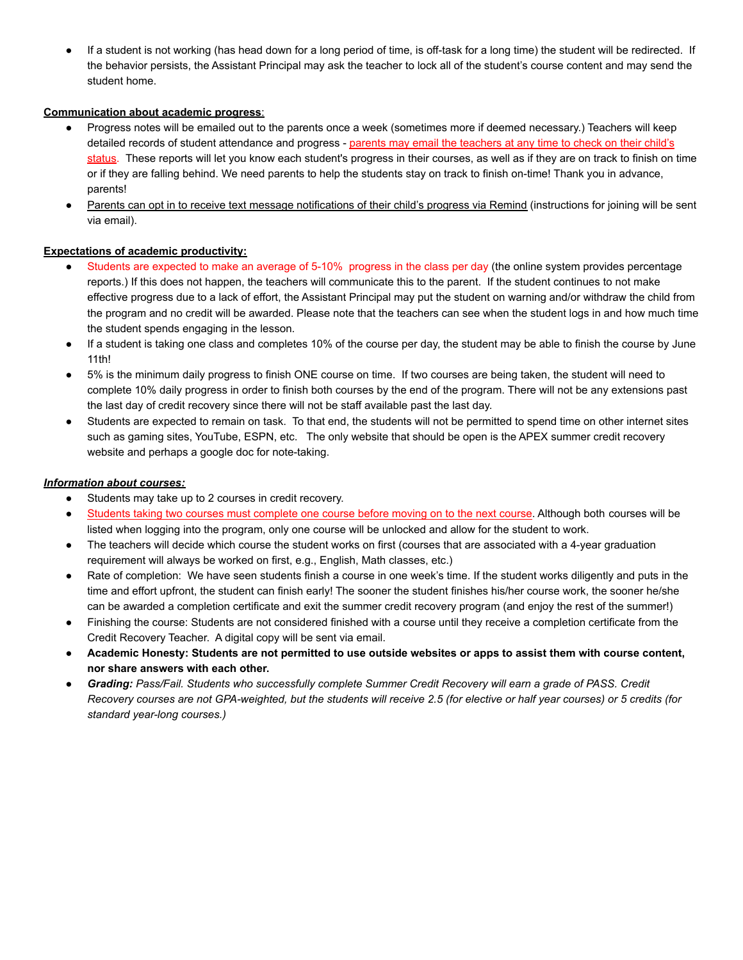If a student is not working (has head down for a long period of time, is off-task for a long time) the student will be redirected. If the behavior persists, the Assistant Principal may ask the teacher to lock all of the student's course content and may send the student home.

## **Communication about academic progress**:

- Progress notes will be emailed out to the parents once a week (sometimes more if deemed necessary.) Teachers will keep detailed records of student attendance and progress - parents may email the teachers at any time to check on their child's status. These reports will let you know each student's progress in their courses, as well as if they are on track to finish on time or if they are falling behind. We need parents to help the students stay on track to finish on-time! Thank you in advance, parents!
- Parents can opt in to receive text message notifications of their child's progress via Remind (instructions for joining will be sent via email).

## **Expectations of academic productivity:**

- Students are expected to make an average of 5-10% progress in the class per day (the online system provides percentage reports.) If this does not happen, the teachers will communicate this to the parent. If the student continues to not make effective progress due to a lack of effort, the Assistant Principal may put the student on warning and/or withdraw the child from the program and no credit will be awarded. Please note that the teachers can see when the student logs in and how much time the student spends engaging in the lesson.
- If a student is taking one class and completes 10% of the course per day, the student may be able to finish the course by June 11th!
- 5% is the minimum daily progress to finish ONE course on time. If two courses are being taken, the student will need to complete 10% daily progress in order to finish both courses by the end of the program. There will not be any extensions past the last day of credit recovery since there will not be staff available past the last day.
- Students are expected to remain on task. To that end, the students will not be permitted to spend time on other internet sites such as gaming sites, YouTube, ESPN, etc. The only website that should be open is the APEX summer credit recovery website and perhaps a google doc for note-taking.

## *Information about courses:*

- Students may take up to 2 courses in credit recovery.
- Students taking two courses must complete one course before moving on to the next course. Although both courses will be listed when logging into the program, only one course will be unlocked and allow for the student to work.
- The teachers will decide which course the student works on first (courses that are associated with a 4-year graduation requirement will always be worked on first, e.g., English, Math classes, etc.)
- Rate of completion: We have seen students finish a course in one week's time. If the student works diligently and puts in the time and effort upfront, the student can finish early! The sooner the student finishes his/her course work, the sooner he/she can be awarded a completion certificate and exit the summer credit recovery program (and enjoy the rest of the summer!)
- Finishing the course: Students are not considered finished with a course until they receive a completion certificate from the Credit Recovery Teacher. A digital copy will be sent via email.
- **● Academic Honesty: Students are not permitted to use outside websites or apps to assist them with course content, nor share answers with each other.**
- *Grading: Pass/Fail. Students who successfully complete Summer Credit Recovery will earn a grade of PASS. Credit Recovery courses are not GPA-weighted, but the students will receive 2.5 (for elective or half year courses) or 5 credits (for standard year-long courses.)*